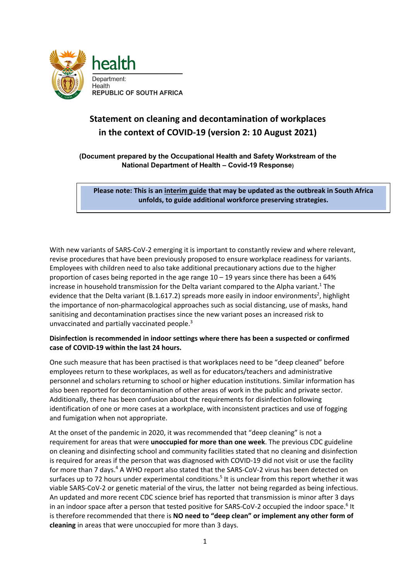

## **Statement on cleaning and decontamination of workplaces in the context of COVID-19 (version 2: 10 August 2021)**

**(Document prepared by the Occupational Health and Safety Workstream of the National Department of Health – Covid-19 Response)**

**Please note: This is an interim guide that may be updated as the outbreak in South Africa unfolds, to guide additional workforce preserving strategies.**

With new variants of SARS-CoV-2 emerging it is important to constantly review and where relevant, revise procedures that have been previously proposed to ensure workplace readiness for variants. Employees with children need to also take additional precautionary actions due to the higher proportion of cases being reported in the age range 10 – 19 years since there has been a 64% increase in household transmission for the Delta variant compared to the Alpha variant.<sup>1</sup> The evidence that the Delta variant (B.1.617.2) spreads more easily in indoor environments<sup>2</sup>, highlight the importance of non-pharmacological approaches such as social distancing, use of masks, hand sanitising and decontamination practises since the new variant poses an increased risk to unvaccinated and partially vaccinated people.<sup>3</sup>

## **Disinfection is recommended in indoor settings where there has been a suspected or confirmed case of COVID-19 within the last 24 hours.**

One such measure that has been practised is that workplaces need to be "deep cleaned" before employees return to these workplaces, as well as for educators/teachers and administrative personnel and scholars returning to school or higher education institutions. Similar information has also been reported for decontamination of other areas of work in the public and private sector. Additionally, there has been confusion about the requirements for disinfection following identification of one or more cases at a workplace, with inconsistent practices and use of fogging and fumigation when not appropriate.

At the onset of the pandemic in 2020, it was recommended that "deep cleaning" is not a requirement for areas that were **unoccupied for more than one week**. The previous CDC guideline on cleaning and disinfecting school and community facilities stated that no cleaning and disinfection is required for areas if the person that was diagnosed with COVID-19 did not visit or use the facility for more than 7 days.<sup>4</sup> A WHO report also stated that the SARS-CoV-2 virus has been detected on surfaces up to 72 hours under experimental conditions.<sup>5</sup> It is unclear from this report whether it was viable SARS-CoV-2 or genetic material of the virus, the latter not being regarded as being infectious. An updated and more recent CDC science brief has reported that transmission is minor after 3 days in an indoor space after a person that tested positive for SARS-CoV-2 occupied the indoor space.<sup>6</sup> It is therefore recommended that there is **NO need to "deep clean" or implement any other form of cleaning** in areas that were unoccupied for more than 3 days.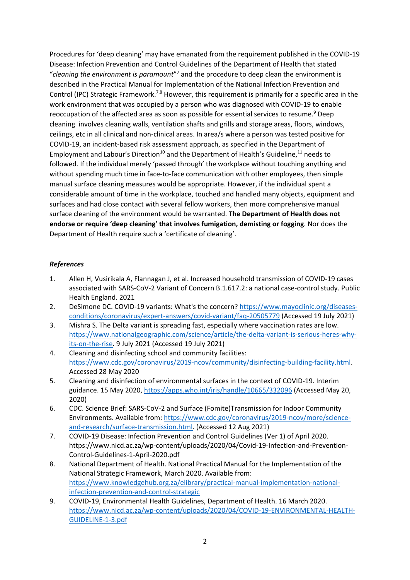Procedures for 'deep cleaning' may have emanated from the requirement published in the COVID-19 Disease: Infection Prevention and Control Guidelines of the Department of Health that stated "*cleaning the environment is paramount*"7 and the procedure to deep clean the environment is described in the Practical Manual for Implementation of the National Infection Prevention and Control (IPC) Strategic Framework.<sup>7,8</sup> However, this requirement is primarily for a specific area in the work environment that was occupied by a person who was diagnosed with COVID-19 to enable reoccupation of the affected area as soon as possible for essential services to resume.<sup>9</sup> Deep cleaning involves cleaning walls, ventilation shafts and grills and storage areas, floors, windows, ceilings, etc in all clinical and non-clinical areas. In area/s where a person was tested positive for COVID-19, an incident-based risk assessment approach, as specified in the Department of Employment and Labour's Direction<sup>10</sup> and the Department of Health's Guideline,  $11$  needs to followed. If the individual merely 'passed through' the workplace without touching anything and without spending much time in face-to-face communication with other employees, then simple manual surface cleaning measures would be appropriate. However, if the individual spent a considerable amount of time in the workplace, touched and handled many objects, equipment and surfaces and had close contact with several fellow workers, then more comprehensive manual surface cleaning of the environment would be warranted. **The Department of Health does not endorse or require 'deep cleaning' that involves fumigation, demisting or fogging**. Nor does the Department of Health require such a 'certificate of cleaning'.

## *References*

- 1. Allen H, Vusirikala A, Flannagan J, et al. Increased household transmission of COVID-19 cases associated with SARS-CoV-2 Variant of Concern B.1.617.2: a national case-control study. Public Health England. 2021
- 2. DeSimone DC. COVID-19 variants: What's the concern? [https://www.mayoclinic.org/diseases](https://www.mayoclinic.org/diseases-conditions/coronavirus/expert-answers/covid-variant/faq-20505779)[conditions/coronavirus/expert-answers/covid-variant/faq-20505779](https://www.mayoclinic.org/diseases-conditions/coronavirus/expert-answers/covid-variant/faq-20505779) (Accessed 19 July 2021)
- 3. Mishra S. The Delta variant is spreading fast, especially where vaccination rates are low. [https://www.nationalgeographic.com/science/article/the-delta-variant-is-serious-heres-why](https://www.nationalgeographic.com/science/article/the-delta-variant-is-serious-heres-why-its-on-the-rise)[its-on-the-rise.](https://www.nationalgeographic.com/science/article/the-delta-variant-is-serious-heres-why-its-on-the-rise) 9 July 2021 (Accessed 19 July 2021)
- 4. Cleaning and disinfecting school and community facilities: [https://www.cdc.gov/coronavirus/2019-ncov/community/disinfecting-building-facility.html.](https://www.cdc.gov/coronavirus/2019-ncov/community/disinfecting-building-facility.html) Accessed 28 May 2020
- 5. Cleaning and disinfection of environmental surfaces in the context of COVID-19. Interim guidance. 15 May 2020,<https://apps.who.int/iris/handle/10665/332096> (Accessed May 20, 2020)
- 6. CDC. Science Brief: SARS-CoV-2 and Surface (Fomite)Transmission for Indoor Community Environments. Available from: [https://www.cdc.gov/coronavirus/2019-ncov/more/science](https://www.cdc.gov/coronavirus/2019-ncov/more/science-and-research/surface-transmission.html)[and-research/surface-transmission.html.](https://www.cdc.gov/coronavirus/2019-ncov/more/science-and-research/surface-transmission.html) (Accessed 12 Aug 2021)
- 7. COVID-19 Disease: Infection Prevention and Control Guidelines (Ver 1) of April 2020. https://www.nicd.ac.za/wp-content/uploads/2020/04/Covid-19-Infection-and-Prevention-Control-Guidelines-1-April-2020.pdf
- 8. National Department of Health. National Practical Manual for the Implementation of the National Strategic Framework, March 2020. Available from: [https://www.knowledgehub.org.za/elibrary/practical-manual-implementation-national](https://www.knowledgehub.org.za/elibrary/practical-manual-implementation-national-infection-prevention-and-control-strategic)[infection-prevention-and-control-strategic](https://www.knowledgehub.org.za/elibrary/practical-manual-implementation-national-infection-prevention-and-control-strategic)
- 9. COVID-19, Environmental Health Guidelines, Department of Health. 16 March 2020. [https://www.nicd.ac.za/wp-content/uploads/2020/04/COVID-19-ENVIRONMENTAL-HEALTH-](https://www.nicd.ac.za/wp-content/uploads/2020/04/COVID-19-ENVIRONMENTAL-HEALTH-GUIDELINE-1-3.pdf)[GUIDELINE-1-3.pdf](https://www.nicd.ac.za/wp-content/uploads/2020/04/COVID-19-ENVIRONMENTAL-HEALTH-GUIDELINE-1-3.pdf)